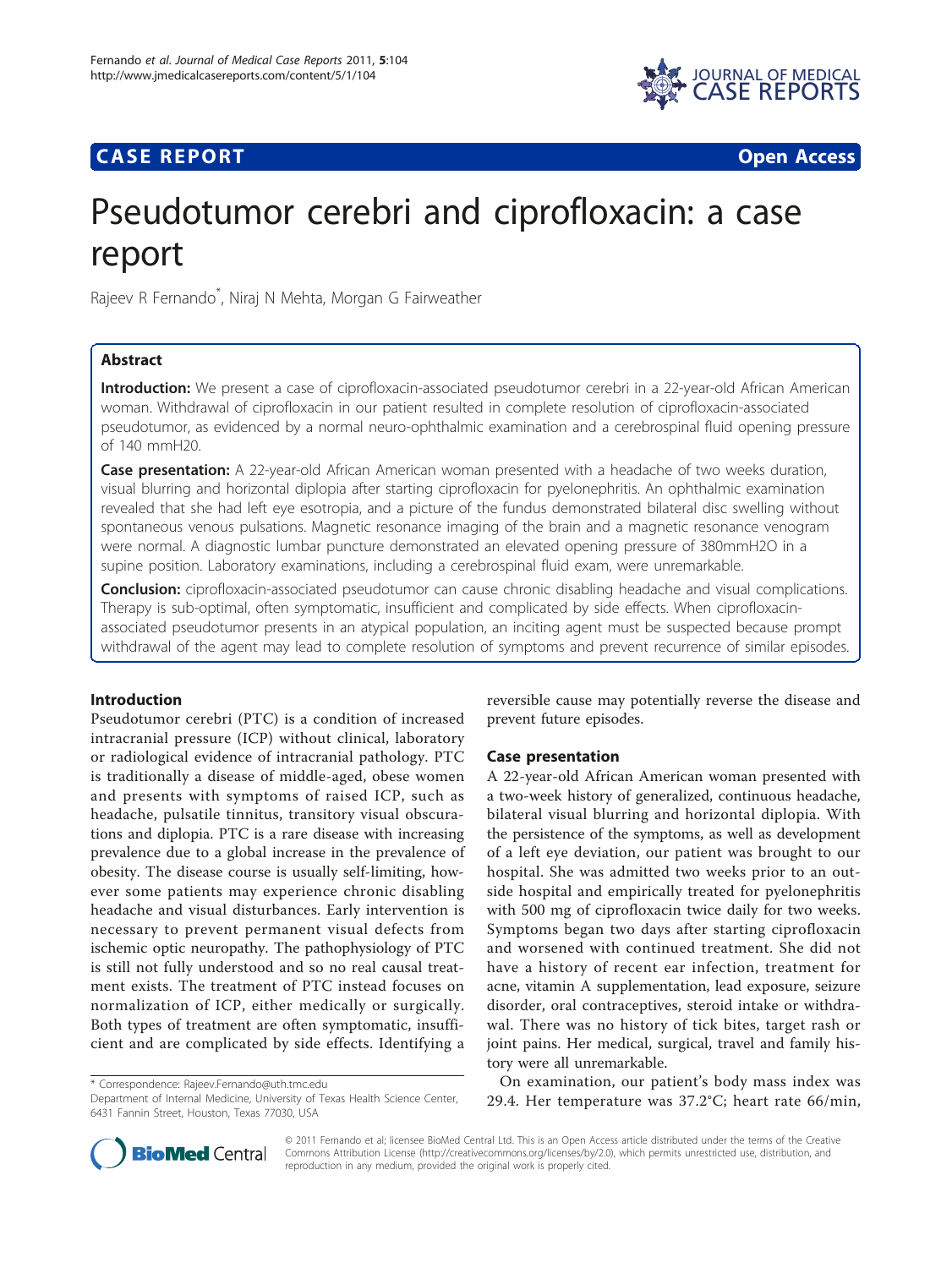

# **CASE REPORT CASE REPORT CASE REPORT**

# Pseudotumor cerebri and ciprofloxacin: a case report

Rajeev R Fernando\* , Niraj N Mehta, Morgan G Fairweather

# Abstract

Introduction: We present a case of ciprofloxacin-associated pseudotumor cerebri in a 22-year-old African American woman. Withdrawal of ciprofloxacin in our patient resulted in complete resolution of ciprofloxacin-associated pseudotumor, as evidenced by a normal neuro-ophthalmic examination and a cerebrospinal fluid opening pressure of 140 mmH20.

Case presentation: A 22-year-old African American woman presented with a headache of two weeks duration, visual blurring and horizontal diplopia after starting ciprofloxacin for pyelonephritis. An ophthalmic examination revealed that she had left eye esotropia, and a picture of the fundus demonstrated bilateral disc swelling without spontaneous venous pulsations. Magnetic resonance imaging of the brain and a magnetic resonance venogram were normal. A diagnostic lumbar puncture demonstrated an elevated opening pressure of 380mmH2O in a supine position. Laboratory examinations, including a cerebrospinal fluid exam, were unremarkable.

**Conclusion:** ciprofloxacin-associated pseudotumor can cause chronic disabling headache and visual complications. Therapy is sub-optimal, often symptomatic, insufficient and complicated by side effects. When ciprofloxacinassociated pseudotumor presents in an atypical population, an inciting agent must be suspected because prompt withdrawal of the agent may lead to complete resolution of symptoms and prevent recurrence of similar episodes.

# Introduction

Pseudotumor cerebri (PTC) is a condition of increased intracranial pressure (ICP) without clinical, laboratory or radiological evidence of intracranial pathology. PTC is traditionally a disease of middle-aged, obese women and presents with symptoms of raised ICP, such as headache, pulsatile tinnitus, transitory visual obscurations and diplopia. PTC is a rare disease with increasing prevalence due to a global increase in the prevalence of obesity. The disease course is usually self-limiting, however some patients may experience chronic disabling headache and visual disturbances. Early intervention is necessary to prevent permanent visual defects from ischemic optic neuropathy. The pathophysiology of PTC is still not fully understood and so no real causal treatment exists. The treatment of PTC instead focuses on normalization of ICP, either medically or surgically. Both types of treatment are often symptomatic, insufficient and are complicated by side effects. Identifying a

\* Correspondence: [Rajeev.Fernando@uth.tmc.edu](mailto:Rajeev.Fernando@uth.tmc.edu)

Department of Internal Medicine, University of Texas Health Science Center, 6431 Fannin Street, Houston, Texas 77030, USA

reversible cause may potentially reverse the disease and prevent future episodes.

# Case presentation

A 22-year-old African American woman presented with a two-week history of generalized, continuous headache, bilateral visual blurring and horizontal diplopia. With the persistence of the symptoms, as well as development of a left eye deviation, our patient was brought to our hospital. She was admitted two weeks prior to an outside hospital and empirically treated for pyelonephritis with 500 mg of ciprofloxacin twice daily for two weeks. Symptoms began two days after starting ciprofloxacin and worsened with continued treatment. She did not have a history of recent ear infection, treatment for acne, vitamin A supplementation, lead exposure, seizure disorder, oral contraceptives, steroid intake or withdrawal. There was no history of tick bites, target rash or joint pains. Her medical, surgical, travel and family history were all unremarkable.

On examination, our patient's body mass index was 29.4. Her temperature was 37.2°C; heart rate 66/min,



© 2011 Fernando et al; licensee BioMed Central Ltd. This is an Open Access article distributed under the terms of the Creative Commons Attribution License [\(http://creativecommons.org/licenses/by/2.0](http://creativecommons.org/licenses/by/2.0)), which permits unrestricted use, distribution, and reproduction in any medium, provided the original work is properly cited.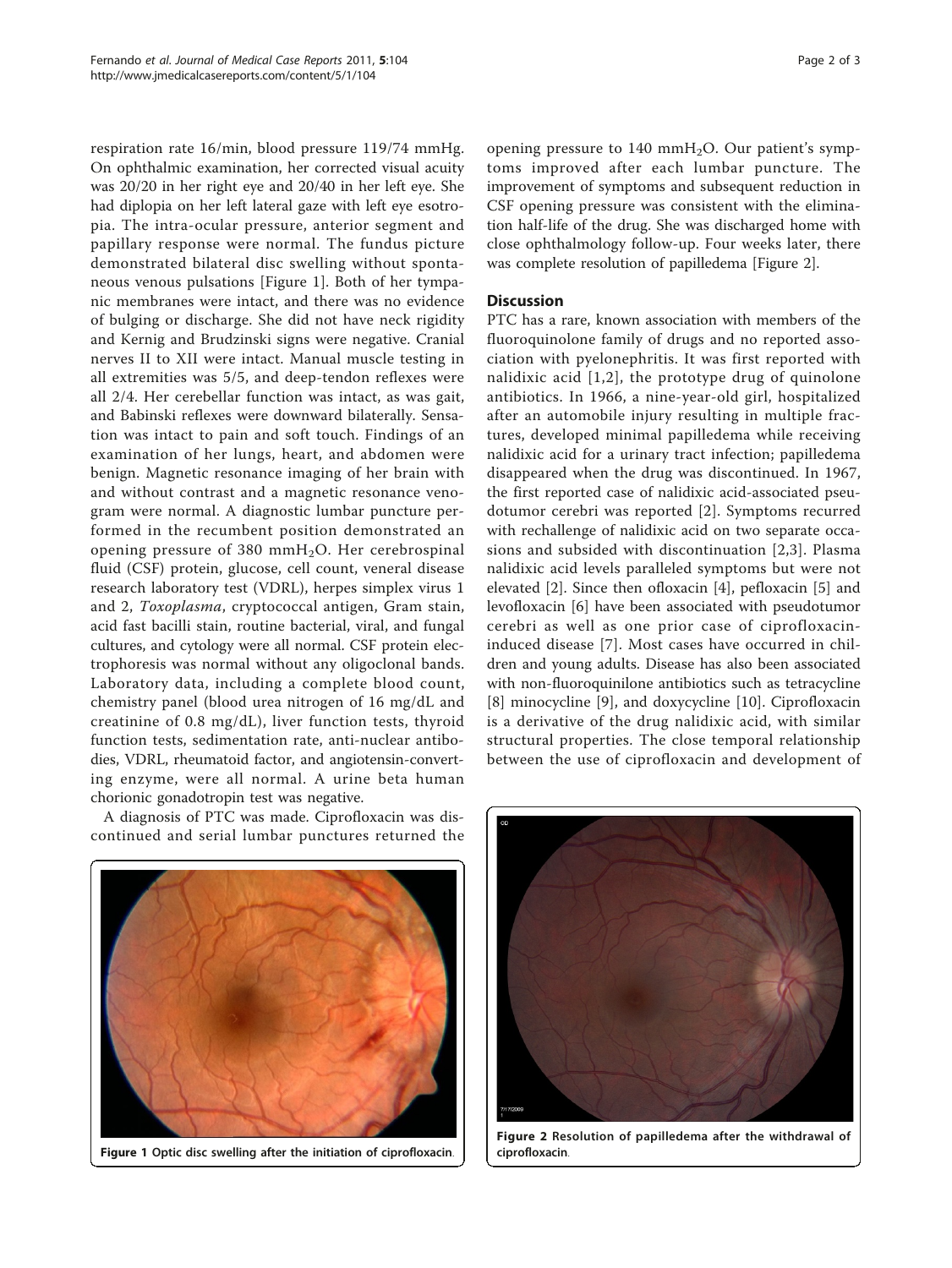respiration rate 16/min, blood pressure 119/74 mmHg. On ophthalmic examination, her corrected visual acuity was 20/20 in her right eye and 20/40 in her left eye. She had diplopia on her left lateral gaze with left eye esotropia. The intra-ocular pressure, anterior segment and papillary response were normal. The fundus picture demonstrated bilateral disc swelling without spontaneous venous pulsations [Figure 1]. Both of her tympanic membranes were intact, and there was no evidence of bulging or discharge. She did not have neck rigidity and Kernig and Brudzinski signs were negative. Cranial nerves II to XII were intact. Manual muscle testing in all extremities was 5/5, and deep-tendon reflexes were all 2/4. Her cerebellar function was intact, as was gait, and Babinski reflexes were downward bilaterally. Sensation was intact to pain and soft touch. Findings of an examination of her lungs, heart, and abdomen were benign. Magnetic resonance imaging of her brain with and without contrast and a magnetic resonance venogram were normal. A diagnostic lumbar puncture performed in the recumbent position demonstrated an opening pressure of 380 mm $H<sub>2</sub>O$ . Her cerebrospinal fluid (CSF) protein, glucose, cell count, veneral disease research laboratory test (VDRL), herpes simplex virus 1 and 2, Toxoplasma, cryptococcal antigen, Gram stain, acid fast bacilli stain, routine bacterial, viral, and fungal cultures, and cytology were all normal. CSF protein electrophoresis was normal without any oligoclonal bands. Laboratory data, including a complete blood count, chemistry panel (blood urea nitrogen of 16 mg/dL and creatinine of 0.8 mg/dL), liver function tests, thyroid function tests, sedimentation rate, anti-nuclear antibodies, VDRL, rheumatoid factor, and angiotensin-converting enzyme, were all normal. A urine beta human chorionic gonadotropin test was negative.

A diagnosis of PTC was made. Ciprofloxacin was discontinued and serial lumbar punctures returned the



Figure 1 Optic disc swelling after the initiation of ciprofloxacin.

opening pressure to 140 mm $H_2O$ . Our patient's symptoms improved after each lumbar puncture. The improvement of symptoms and subsequent reduction in CSF opening pressure was consistent with the elimination half-life of the drug. She was discharged home with close ophthalmology follow-up. Four weeks later, there was complete resolution of papilledema [Figure 2].

# **Discussion**

PTC has a rare, known association with members of the fluoroquinolone family of drugs and no reported association with pyelonephritis. It was first reported with nalidixic acid [[1,2](#page-2-0)], the prototype drug of quinolone antibiotics. In 1966, a nine-year-old girl, hospitalized after an automobile injury resulting in multiple fractures, developed minimal papilledema while receiving nalidixic acid for a urinary tract infection; papilledema disappeared when the drug was discontinued. In 1967, the first reported case of nalidixic acid-associated pseudotumor cerebri was reported [\[2](#page-2-0)]. Symptoms recurred with rechallenge of nalidixic acid on two separate occasions and subsided with discontinuation [[2,3](#page-2-0)]. Plasma nalidixic acid levels paralleled symptoms but were not elevated [[2\]](#page-2-0). Since then ofloxacin [[4\]](#page-2-0), pefloxacin [[5\]](#page-2-0) and levofloxacin [[6\]](#page-2-0) have been associated with pseudotumor cerebri as well as one prior case of ciprofloxacininduced disease [[7\]](#page-2-0). Most cases have occurred in children and young adults. Disease has also been associated with non-fluoroquinilone antibiotics such as tetracycline [[8\]](#page-2-0) minocycline [\[9](#page-2-0)], and doxycycline [[10\]](#page-2-0). Ciprofloxacin is a derivative of the drug nalidixic acid, with similar structural properties. The close temporal relationship between the use of ciprofloxacin and development of



Figure 2 Resolution of papilledema after the withdrawal of ciprofloxacin.